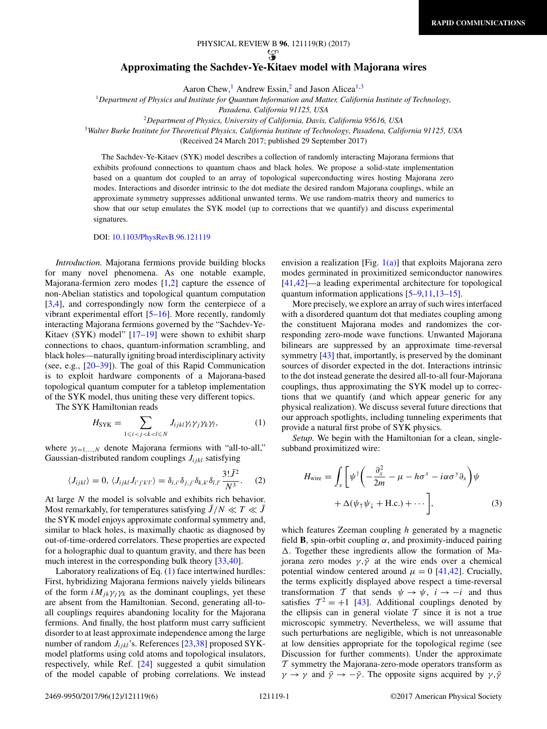# PHYSICAL REVIEW B **96**, 121119(R) (2017)

## <span id="page-0-0"></span>**Approximating the Sachdev-Ye-Kitaev model with Majorana wires**

Aaron Chew,<sup>1</sup> Andrew Essin,<sup>2</sup> and Jason Alicea<sup>1,3</sup>

<sup>1</sup>*Department of Physics and Institute for Quantum Information and Matter, California Institute of Technology,*

*Pasadena, California 91125, USA*

<sup>2</sup>*Department of Physics, University of California, Davis, California 95616, USA*

<sup>3</sup>*Walter Burke Institute for Theoretical Physics, California Institute of Technology, Pasadena, California 91125, USA*

(Received 24 March 2017; published 29 September 2017)

The Sachdev-Ye-Kitaev (SYK) model describes a collection of randomly interacting Majorana fermions that exhibits profound connections to quantum chaos and black holes. We propose a solid-state implementation based on a quantum dot coupled to an array of topological superconducting wires hosting Majorana zero modes. Interactions and disorder intrinsic to the dot mediate the desired random Majorana couplings, while an approximate symmetry suppresses additional unwanted terms. We use random-matrix theory and numerics to show that our setup emulates the SYK model (up to corrections that we quantify) and discuss experimental signatures.

DOI: [10.1103/PhysRevB.96.121119](https://doi.org/10.1103/PhysRevB.96.121119)

*Introduction.* Majorana fermions provide building blocks for many novel phenomena. As one notable example, Majorana-fermion zero modes  $[1,2]$  capture the essence of non-Abelian statistics and topological quantum computation [\[3,4\]](#page-4-0), and correspondingly now form the centerpiece of a vibrant experimental effort [\[5–16\]](#page-4-0). More recently, randomly interacting Majorana fermions governed by the "Sachdev-Ye-Kitaev (SYK) model" [\[17–19\]](#page-4-0) were shown to exhibit sharp connections to chaos, quantum-information scrambling, and black holes—naturally igniting broad interdisciplinary activity (see, e.g., [\[20–39\]](#page-4-0)). The goal of this Rapid Communication is to exploit hardware components of a Majorana-based topological quantum computer for a tabletop implementation of the SYK model, thus uniting these very different topics.

The SYK Hamiltonian reads

$$
H_{\text{SYK}} = \sum_{1 \le i < j < k < l \le N} J_{ijkl} \gamma_i \gamma_j \gamma_k \gamma_l,\tag{1}
$$

where  $\gamma_{i=1,\dots,N}$  denote Majorana fermions with "all-to-all," Gaussian-distributed random couplings *Jijkl* satisfying

$$
\langle J_{ijkl}\rangle = 0, \langle J_{ijkl}J_{i'j'k'l'}\rangle = \delta_{i,i'}\delta_{j,j'}\delta_{k,k'}\delta_{l,l'}\frac{3!J^2}{N^3}.
$$
 (2)

At large *N* the model is solvable and exhibits rich behavior. Most remarkably, for temperatures satisfying  $J/N \ll T \ll J$ the SYK model enjoys approximate conformal symmetry and, similar to black holes, is maximally chaotic as diagnosed by out-of-time-ordered correlators. These properties are expected for a holographic dual to quantum gravity, and there has been much interest in the corresponding bulk theory [\[33,40\]](#page-4-0).

Laboratory realizations of Eq. (1) face intertwined hurdles: First, hybridizing Majorana fermions naively yields bilinears of the form  $iM_{ik}\gamma_i\gamma_k$  as the dominant couplings, yet these are absent from the Hamiltonian. Second, generating all-toall couplings requires abandoning locality for the Majorana fermions. And finally, the host platform must carry sufficient disorder to at least approximate independence among the large number of random *Jijkl*'s. References [\[23,38\]](#page-4-0) proposed SYKmodel platforms using cold atoms and topological insulators, respectively, while Ref. [\[24\]](#page-4-0) suggested a qubit simulation of the model capable of probing correlations. We instead envision a realization [Fig.  $1(a)$ ] that exploits Majorana zero modes germinated in proximitized semiconductor nanowires [\[41,42\]](#page-4-0)—a leading experimental architecture for topological quantum information applications [\[5–9,11,13–15\]](#page-4-0).

More precisely, we explore an array of such wires interfaced with a disordered quantum dot that mediates coupling among the constituent Majorana modes and randomizes the corresponding zero-mode wave functions. Unwanted Majorana bilinears are suppressed by an approximate time-reversal symmetry [\[43\]](#page-4-0) that, importantly, is preserved by the dominant sources of disorder expected in the dot. Interactions intrinsic to the dot instead generate the desired all-to-all four-Majorana couplings, thus approximating the SYK model up to corrections that we quantify (and which appear generic for any physical realization). We discuss several future directions that our approach spotlights, including tunneling experiments that provide a natural first probe of SYK physics.

*Setup.* We begin with the Hamiltonian for a clean, singlesubband proximitized wire:

$$
H_{\text{wire}} = \int_{x} \left[ \psi^{\dagger} \left( -\frac{\partial_{x}^{2}}{2m} - \mu - h \sigma^{x} - i \alpha \sigma^{y} \partial_{x} \right) \psi + \Delta(\psi_{\uparrow} \psi_{\downarrow} + \text{H.c.}) + \cdots \right], \tag{3}
$$

which features Zeeman coupling *h* generated by a magnetic field **B**, spin-orbit coupling  $\alpha$ , and proximity-induced pairing  $\Delta$ . Together these ingredients allow the formation of Majorana zero modes  $\gamma$ ,  $\tilde{\gamma}$  at the wire ends over a chemical potential window centered around  $\mu = 0$  [\[41,42\]](#page-4-0). Crucially, the terms explicitly displayed above respect a time-reversal transformation T that sends  $\psi \rightarrow \psi$ ,  $i \rightarrow -i$  and thus satisfies  $T^2 = +1$  [\[43\]](#page-4-0). Additional couplings denoted by the ellipsis can in general violate  $T$  since it is not a true microscopic symmetry. Nevertheless, we will assume that such perturbations are negligible, which is not unreasonable at low densities appropriate for the topological regime (see Discussion for further comments). Under the approximate  $T$  symmetry the Majorana-zero-mode operators transform as *γ* → *γ* and  $\tilde{\gamma}$  → − $\tilde{\gamma}$ . The opposite signs acquired by *γ*,  $\tilde{\gamma}$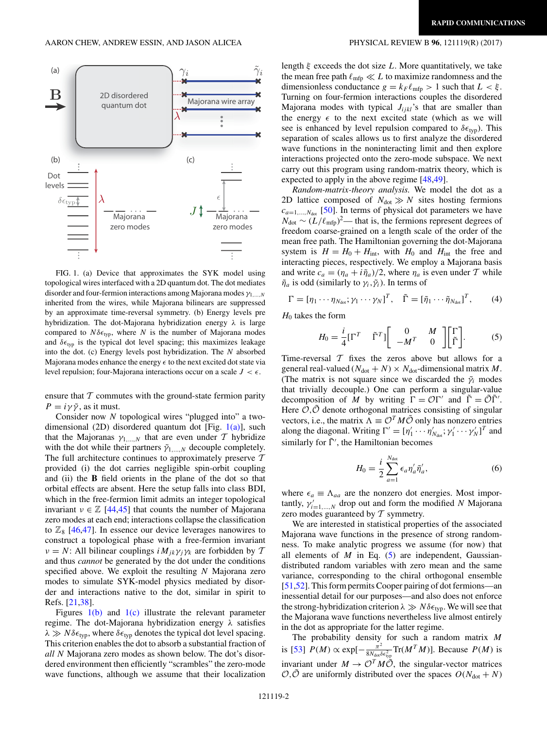<span id="page-1-0"></span>

FIG. 1. (a) Device that approximates the SYK model using topological wires interfaced with a 2D quantum dot. The dot mediates disorder and four-fermion interactions among Majorana modes *γ*1*,...,N* inherited from the wires, while Majorana bilinears are suppressed by an approximate time-reversal symmetry. (b) Energy levels pre hybridization. The dot-Majorana hybridization energy *λ* is large compared to  $N\delta\epsilon_{typ}$ , where *N* is the number of Majorana modes and  $\delta \epsilon_{typ}$  is the typical dot level spacing; this maximizes leakage into the dot. (c) Energy levels post hybridization. The *N* absorbed Majorana modes enhance the energy  to the next excited dot state via level repulsion; four-Majorana interactions occur on a scale  $J < \epsilon$ .

ensure that  $T$  commutes with the ground-state fermion parity  $P = i\gamma\tilde{\gamma}$ , as it must.

Consider now *N* topological wires "plugged into" a twodimensional (2D) disordered quantum dot [Fig.  $1(a)$ ], such that the Majoranas  $\gamma_{1,\dots,N}$  that are even under T hybridize with the dot while their partners  $\tilde{\gamma}_{1,...,N}$  decouple completely. The full architecture continues to approximately preserve  $T$ provided (i) the dot carries negligible spin-orbit coupling and (ii) the **B** field orients in the plane of the dot so that orbital effects are absent. Here the setup falls into class BDI, which in the free-fermion limit admits an integer topological invariant  $v \in \mathbb{Z}$  [\[44,45\]](#page-4-0) that counts the number of Majorana zero modes at each end; interactions collapse the classification to  $\mathbb{Z}_8$  [\[46,47\]](#page-4-0). In essence our device leverages nanowires to construct a topological phase with a free-fermion invariant *ν* = *N*: All bilinear couplings *iM<sub>ik</sub>γ<sub>i</sub>γ<sub>k</sub>* are forbidden by  $T$ and thus *cannot* be generated by the dot under the conditions specified above. We exploit the resulting *N* Majorana zero modes to simulate SYK-model physics mediated by disorder and interactions native to the dot, similar in spirit to Refs. [\[21,38\]](#page-4-0).

Figures  $1(b)$  and  $1(c)$  illustrate the relevant parameter regime. The dot-Majorana hybridization energy *λ* satisfies  $\lambda \gg N \delta \epsilon_{typ}$ , where  $\delta \epsilon_{typ}$  denotes the typical dot level spacing. This criterion enables the dot to absorb a substantial fraction of *all N* Majorana zero modes as shown below. The dot's disordered environment then efficiently "scrambles" the zero-mode wave functions, although we assume that their localization

length *ξ* exceeds the dot size *L*. More quantitatively, we take the mean free path  $\ell_{\rm mfp} \ll L$  to maximize randomness and the dimensionless conductance  $g = k_F \ell_{\text{mfp}} > 1$  such that  $L < \xi$ . Turning on four-fermion interactions couples the disordered Majorana modes with typical  $J_{ijkl}$ 's that are smaller than the energy  $\epsilon$  to the next excited state (which as we will see is enhanced by level repulsion compared to  $\delta \epsilon_{typ}$ ). This separation of scales allows us to first analyze the disordered wave functions in the noninteracting limit and then explore interactions projected onto the zero-mode subspace. We next carry out this program using random-matrix theory, which is expected to apply in the above regime [\[48,49\]](#page-4-0).

*Random-matrix-theory analysis.* We model the dot as a 2D lattice composed of  $N_{dot} \gg N$  sites hosting fermions  $c_{a=1,\dots,N_{\text{dot}}}$  [\[50\]](#page-4-0). In terms of physical dot parameters we have  $N_{dot} \sim (L/\ell_{\rm mfp})^2$ — that is, the fermions represent degrees of freedom coarse-grained on a length scale of the order of the mean free path. The Hamiltonian governing the dot-Majorana system is  $H = H_0 + H_{int}$ , with  $H_0$  and  $H_{int}$  the free and interacting pieces, respectively. We employ a Majorana basis and write  $c_a = (\eta_a + i\tilde{\eta}_a)/2$ , where  $\eta_a$  is even under T while  $\tilde{\eta}_a$  is odd (similarly to  $\gamma_i$ ,  $\tilde{\gamma}_i$ ). In terms of

$$
\Gamma = [\eta_1 \cdots \eta_{N_{\text{dot}}} ; \gamma_1 \cdots \gamma_N]^T, \quad \tilde{\Gamma} = [\tilde{\eta}_1 \cdots \tilde{\eta}_{N_{\text{dot}}}]^T, \quad (4)
$$

*H*<sup>0</sup> takes the form

$$
H_0 = \frac{i}{4} [\Gamma^T \quad \tilde{\Gamma}^T] \begin{bmatrix} 0 & M \\ -M^T & 0 \end{bmatrix} \begin{bmatrix} \Gamma \\ \tilde{\Gamma} \end{bmatrix}.
$$
 (5)

Time-reversal  $T$  fixes the zeros above but allows for a general real-valued  $(N<sub>dot</sub> + N) \times N<sub>dot</sub>$ -dimensional matrix *M*. (The matrix is not square since we discarded the  $\tilde{\gamma}_i$  modes that trivially decouple.) One can perform a singular-value decomposition of *M* by writing  $\Gamma = \mathcal{O}\Gamma'$  and  $\tilde{\Gamma} = \tilde{\mathcal{O}}\tilde{\Gamma}'$ . Here  $\mathcal{O}, \tilde{\mathcal{O}}$  denote orthogonal matrices consisting of singular vectors, i.e., the matrix  $\Lambda \equiv \mathcal{O}^T M \tilde{\mathcal{O}}$  only has nonzero entries along the diagonal. Writing  $\Gamma' = [\eta'_1 \cdots \eta'_{N_{dot}}; \gamma'_1 \cdots \gamma'_N]^T$  and similarly for  $\tilde{\Gamma}'$ , the Hamiltonian becomes

$$
H_0 = \frac{i}{2} \sum_{a=1}^{N_{\text{dot}}} \epsilon_a \eta'_a \tilde{\eta}'_a,\tag{6}
$$

where  $\epsilon_a \equiv \Lambda_{aa}$  are the nonzero dot energies. Most importantly,  $\gamma'_{i=1,\dots,N}$  drop out and form the modified *N* Majorana zero modes guaranteed by  $T$  symmetry.

We are interested in statistical properties of the associated Majorana wave functions in the presence of strong randomness. To make analytic progress we assume (for now) that all elements of  $M$  in Eq.  $(5)$  are independent, Gaussiandistributed random variables with zero mean and the same variance, corresponding to the chiral orthogonal ensemble [\[51,52\]](#page-4-0). This form permits Cooper pairing of dot fermions—an inessential detail for our purposes—and also does not enforce the strong-hybridization criterion *λ Nδ* typ. We will see that the Majorana wave functions nevertheless live almost entirely in the dot as appropriate for the latter regime.

The probability density for such a random matrix *M* is [\[53\]](#page-4-0)  $P(M) \propto \exp[-\frac{\pi^2}{8N_{\text{dot}}\delta\epsilon_{\text{typ}}^2}\text{Tr}(M^T M)]$ . Because  $P(M)$  is invariant under  $M \to \mathcal{O}^T M \tilde{\mathcal{O}}$ , the singular-vector matrices  $\mathcal{O}, \tilde{\mathcal{O}}$  are uniformly distributed over the spaces  $O(N_{dot} + N)$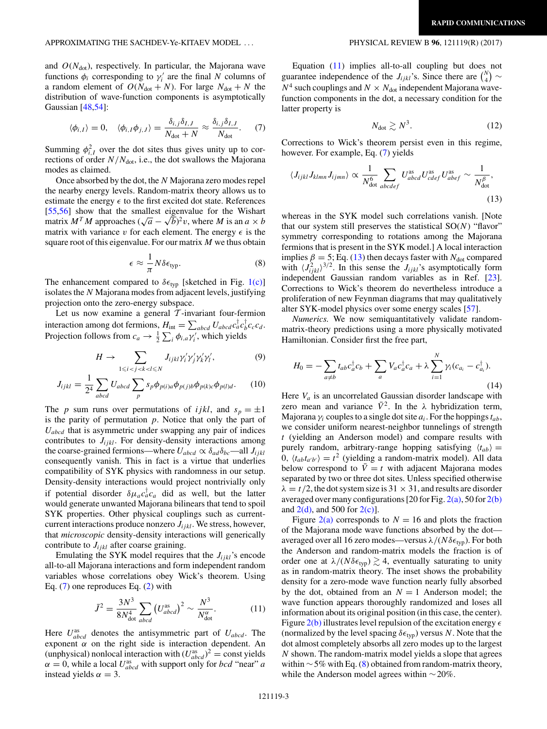### <span id="page-2-0"></span>APPROXIMATING THE SACHDEV-Ye-KITAEV MODEL . . . PHYSICAL REVIEW B **96**, 121119(R) (2017)

and  $O(N<sub>dot</sub>)$ , respectively. In particular, the Majorana wave functions  $\phi_i$  corresponding to  $\gamma'_i$  are the final *N* columns of a random element of  $O(N_{dot} + N)$ . For large  $N_{dot} + N$  the distribution of wave-function components is asymptotically Gaussian [\[48,54\]](#page-4-0):

$$
\langle \phi_{i,I} \rangle = 0, \quad \langle \phi_{i,I} \phi_{j,J} \rangle = \frac{\delta_{i,j} \delta_{I,J}}{N_{\text{dot}} + N} \approx \frac{\delta_{i,j} \delta_{I,J}}{N_{\text{dot}}}.
$$
 (7)

Summing  $\phi_{i,I}^2$  over the dot sites thus gives unity up to corrections of order  $N/N_{dot}$ , i.e., the dot swallows the Majorana modes as claimed.

Once absorbed by the dot, the *N* Majorana zero modes repel the nearby energy levels. Random-matrix theory allows us to estimate the energy  $\epsilon$  to the first excited dot state. References [\[55,56\]](#page-4-0) show that the smallest eigenvalue for the Wishart matrix  $M^T M$  approaches  $(\sqrt{a} - \sqrt{b})^2 v$ , where *M* is an  $a \times b$ matrix with variance  $v$  for each element. The energy  $\epsilon$  is the square root of this eigenvalue. For our matrix *M* we thus obtain

$$
\epsilon \approx \frac{1}{\pi} N \delta \epsilon_{\text{typ}}.\tag{8}
$$

The enhancement compared to  $\delta \epsilon_{typ}$  [sketched in Fig. [1\(c\)\]](#page-1-0) isolates the *N* Majorana modes from adjacent levels, justifying projection onto the zero-energy subspace.

Let us now examine a general  $\mathcal T$ -invariant four-fermion interaction among dot fermions,  $H_{int} = \sum_{abcd} U_{abcd} c_a^{\dagger} c_b^{\dagger} c_c c_d$ . Projection follows from  $c_a \to \frac{1}{2} \sum_i \phi_{i,a} \gamma'_i$ , which yields

$$
H \to \sum_{1 \le i < j < k < l \le N} J_{ijkl} \gamma'_i \gamma'_j \gamma'_k \gamma'_l, \tag{9}
$$

$$
J_{ijkl} = \frac{1}{2^4} \sum_{abcd} U_{abcd} \sum_p s_p \phi_{p(i)a} \phi_{p(j)b} \phi_{p(k)c} \phi_{p(l)d}.
$$
 (10)

The *p* sum runs over permutations of *ijkl*, and  $s_p = \pm 1$ is the parity of permutation *p*. Notice that only the part of *Uabcd* that is asymmetric under swapping any pair of indices contributes to  $J_{ijkl}$ . For density-density interactions among the coarse-grained fermions—where  $U_{abcd} \propto \delta_{ad} \delta_{bc}$ —all  $J_{ijkl}$ consequently vanish. This in fact is a virtue that underlies compatibility of SYK physics with randomness in our setup. Density-density interactions would project nontrivially only if potential disorder  $\delta \mu_a c_a^{\dagger} c_a$  did as well, but the latter would generate unwanted Majorana bilinears that tend to spoil SYK properties. Other physical couplings such as currentcurrent interactions produce nonzero  $J_{i,ikl}$ . We stress, however, that *microscopic* density-density interactions will generically contribute to  $J_{ijkl}$  after coarse graining.

Emulating the SYK model requires that the  $J_{iikl}$ 's encode all-to-all Majorana interactions and form independent random variables whose correlations obey Wick's theorem. Using Eq. (7) one reproduces Eq. [\(2\)](#page-0-0) with

$$
\bar{J}^2 = \frac{3N^3}{8N_{\text{dot}}^4} \sum_{abcd} \left(U_{abcd}^{\text{as}}\right)^2 \sim \frac{N^3}{N_{\text{dot}}^{\alpha}}.\tag{11}
$$

Here  $U_{abcd}^{as}$  denotes the antisymmetric part of  $U_{abcd}$ . The exponent  $\alpha$  on the right side is interaction dependent. An (unphysical) nonlocal interaction with  $(U_{abcd}^{as})^2$  = const yields  $\alpha = 0$ , while a local  $U_{abcd}^{as}$  with support only for *bcd* "near" *a* instead yields  $\alpha = 3$ .

Equation (11) implies all-to-all coupling but does not guarantee independence of the  $J_{ijkl}$ 's. Since there are  $\binom{N}{4} \sim$  $N^4$  such couplings and  $N \times N_{dot}$  independent Majorana wavefunction components in the dot, a necessary condition for the latter property is

$$
N_{\text{dot}} \gtrsim N^3. \tag{12}
$$

Corrections to Wick's theorem persist even in this regime, however. For example, Eq. (7) yields

$$
\langle J_{ijkl} J_{klmn} J_{ijmn} \rangle \propto \frac{1}{N_{\text{dot}}^6} \sum_{abcdef} U_{abcd}^{\text{as}} U_{cdef}^{\text{as}} U_{abef}^{\text{as}} \sim \frac{1}{N_{\text{dot}}^{\beta}},\tag{13}
$$

whereas in the SYK model such correlations vanish. [Note that our system still preserves the statistical SO(*N*) "flavor" symmetry corresponding to rotations among the Majorana fermions that is present in the SYK model.] A local interaction implies  $\beta = 5$ ; Eq. (13) then decays faster with *N*<sub>dot</sub> compared with  $\langle J_{ijkl}^2 \rangle^{3/2}$ . In this sense the  $J_{ijkl}$ 's asymptotically form independent Gaussian random variables as in Ref. [\[23\]](#page-4-0). Corrections to Wick's theorem do nevertheless introduce a proliferation of new Feynman diagrams that may qualitatively alter SYK-model physics over some energy scales [\[57\]](#page-4-0).

*Numerics.* We now semiquantitatively validate randommatrix-theory predictions using a more physically motivated Hamiltonian. Consider first the free part,

$$
H_0 = -\sum_{a \neq b} t_{ab} c_a^{\dagger} c_b + \sum_a V_a c_a^{\dagger} c_a + \lambda \sum_{i=1}^N \gamma_i (c_{a_i} - c_{a_i}^{\dagger}).
$$
\n(14)

Here  $V_a$  is an uncorrelated Gaussian disorder landscape with zero mean and variance  $\bar{V}^2$ . In the  $\lambda$  hybridization term, Majorana  $\gamma_i$  couples to a single dot site  $a_i$ . For the hoppings  $t_{ab}$ , we consider uniform nearest-neighbor tunnelings of strength *t* (yielding an Anderson model) and compare results with purely random, arbitrary-range hopping satisfying  $\langle t_{ab} \rangle$  =  $0, \langle t_{ab} t_{a'b'} \rangle = t^2$  (yielding a random-matrix model). All data below correspond to  $V = t$  with adjacent Majorana modes separated by two or three dot sites. Unless specified otherwise  $\lambda = t/2$ , the dot system size is 31  $\times$  31, and results are disorder averaged over many configurations [20 for Fig.  $2(a)$ , 50 for  $2(b)$ and  $2(d)$ , and 500 for  $2(c)$ ].

Figure  $2(a)$  corresponds to  $N = 16$  and plots the fraction of the Majorana mode wave functions absorbed by the dot averaged over all 16 zero modes—versus *λ/*(*Nδ* typ). For both the Anderson and random-matrix models the fraction is of order one at  $\lambda/(N\delta\epsilon_{typ}) \gtrsim 4$ , eventually saturating to unity as in random-matrix theory. The inset shows the probability density for a zero-mode wave function nearly fully absorbed by the dot, obtained from an  $N = 1$  Anderson model; the wave function appears thoroughly randomized and loses all information about its original position (in this case, the center). Figure [2\(b\)](#page-3-0) illustrates level repulsion of the excitation energy  (normalized by the level spacing  $\delta \epsilon_{typ}$ ) versus *N*. Note that the dot almost completely absorbs all zero modes up to the largest *N* shown. The random-matrix model yields a slope that agrees within  $\sim$  5% with Eq. (8) obtained from random-matrix theory, while the Anderson model agrees within ∼20%.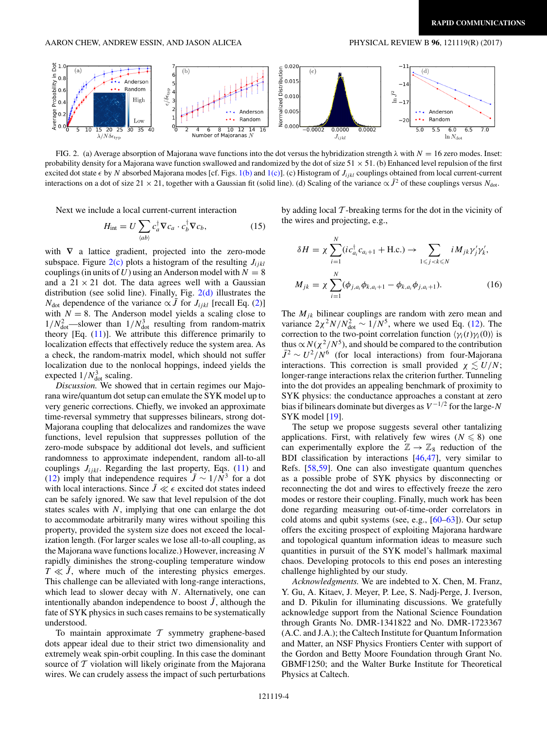<span id="page-3-0"></span>

FIG. 2. (a) Average absorption of Majorana wave functions into the dot versus the hybridization strength  $\lambda$  with  $N = 16$  zero modes. Inset: probability density for a Majorana wave function swallowed and randomized by the dot of size  $51 \times 51$ . (b) Enhanced level repulsion of the first excited dot state  $\epsilon$  by *N* absorbed Majorana modes [cf. Figs. [1\(b\)](#page-1-0) and [1\(c\)\]](#page-1-0). (c) Histogram of  $J_{ijkl}$  couplings obtained from local current-current interactions on a dot of size 21 × 21, together with a Gaussian fit (solid line). (d) Scaling of the variance  $\propto J^2$  of these couplings versus *N*<sub>dot</sub>.

Next we include a local current-current interaction

$$
H_{\text{int}} = U \sum_{\langle ab \rangle} c_a^{\dagger} \nabla c_a \cdot c_b^{\dagger} \nabla c_b, \qquad (15)
$$

with  $\nabla$  a lattice gradient, projected into the zero-mode subspace. Figure  $2(c)$  plots a histogram of the resulting  $J_{ijkl}$ couplings (in units of *U*) using an Anderson model with  $N = 8$ and a  $21 \times 21$  dot. The data agrees well with a Gaussian distribution (see solid line). Finally, Fig.  $2(d)$  illustrates the *N*<sub>dot</sub> dependence of the variance  $\propto \bar{J}$  for *J<sub>ijkl</sub>* [recall Eq. [\(2\)](#page-0-0)] with  $N = 8$ . The Anderson model yields a scaling close to  $1/N_{\text{dot}}^2$  -slower than  $1/N_{\text{dot}}^3$  resulting from random-matrix theory [Eq.  $(11)$ ]. We attribute this difference primarily to localization effects that effectively reduce the system area. As a check, the random-matrix model, which should not suffer localization due to the nonlocal hoppings, indeed yields the expected  $1/N_{\text{dot}}^3$  scaling.

*Discussion.* We showed that in certain regimes our Majorana wire/quantum dot setup can emulate the SYK model up to very generic corrections. Chiefly, we invoked an approximate time-reversal symmetry that suppresses bilinears, strong dot-Majorana coupling that delocalizes and randomizes the wave functions, level repulsion that suppresses pollution of the zero-mode subspace by additional dot levels, and sufficient randomness to approximate independent, random all-to-all couplings  $J_{ijkl}$ . Regarding the last property, Eqs.  $(11)$  and [\(12\)](#page-2-0) imply that independence requires  $\bar{J} \sim 1/N^3$  for a dot with local interactions. Since  $\bar{J} \ll \epsilon$  excited dot states indeed can be safely ignored. We saw that level repulsion of the dot states scales with *N*, implying that one can enlarge the dot to accommodate arbitrarily many wires without spoiling this property, provided the system size does not exceed the localization length. (For larger scales we lose all-to-all coupling, as the Majorana wave functions localize.) However, increasing *N* rapidly diminishes the strong-coupling temperature window  $T \ll \bar{J}$ , where much of the interesting physics emerges. This challenge can be alleviated with long-range interactions, which lead to slower decay with *N*. Alternatively, one can intentionally abandon independence to boost  $\bar{J}$ , although the fate of SYK physics in such cases remains to be systematically understood.

To maintain approximate  $T$  symmetry graphene-based dots appear ideal due to their strict two dimensionality and extremely weak spin-orbit coupling. In this case the dominant source of  $T$  violation will likely originate from the Majorana wires. We can crudely assess the impact of such perturbations by adding local  $\mathcal T$ -breaking terms for the dot in the vicinity of the wires and projecting, e.g.,

$$
\delta H = \chi \sum_{i=1}^{N} (ic_{a_i}^{\dagger} c_{a_i+1} + \text{H.c.}) \to \sum_{1 \leq j < k \leq N} i M_{jk} \gamma'_j \gamma'_k,
$$
\n
$$
M_{jk} = \chi \sum_{i=1}^{N} (\phi_{j,a_i} \phi_{k,a_i+1} - \phi_{k,a_i} \phi_{j,a_i+1}). \tag{16}
$$

The  $M_{jk}$  bilinear couplings are random with zero mean and variance  $2\chi^2 N/N_{\text{dot}}^2 \sim 1/N^5$ , where we used Eq. [\(12\)](#page-2-0). The correction to the two-point correlation function  $\langle \gamma_i(t) \gamma_i(0) \rangle$  is thus  $\propto N(\chi^2/N^5)$ , and should be compared to the contribution  $\bar{J}^2 \sim U^2/N^6$  (for local interactions) from four-Majorana interactions. This correction is small provided  $\chi \lesssim U/N$ ; longer-range interactions relax the criterion further. Tunneling into the dot provides an appealing benchmark of proximity to SYK physics: the conductance approaches a constant at zero bias if bilinears dominate but diverges as  $V^{-1/2}$  for the large-*N* SYK model [\[19\]](#page-4-0).

The setup we propose suggests several other tantalizing applications. First, with relatively few wires  $(N \leq 8)$  one can experimentally explore the  $\mathbb{Z} \rightarrow \mathbb{Z}_8$  reduction of the BDI classification by interactions [\[46,47\]](#page-4-0), very similar to Refs. [\[58,59\]](#page-4-0). One can also investigate quantum quenches as a possible probe of SYK physics by disconnecting or reconnecting the dot and wires to effectively freeze the zero modes or restore their coupling. Finally, much work has been done regarding measuring out-of-time-order correlators in cold atoms and qubit systems (see, e.g., [\[60](#page-4-0)[–63\]](#page-5-0)). Our setup offers the exciting prospect of exploiting Majorana hardware and topological quantum information ideas to measure such quantities in pursuit of the SYK model's hallmark maximal chaos. Developing protocols to this end poses an interesting challenge highlighted by our study.

*Acknowledgments.* We are indebted to X. Chen, M. Franz, Y. Gu, A. Kitaev, J. Meyer, P. Lee, S. Nadj-Perge, J. Iverson, and D. Pikulin for illuminating discussions. We gratefully acknowledge support from the National Science Foundation through Grants No. DMR-1341822 and No. DMR-1723367 (A.C. and J.A.); the Caltech Institute for Quantum Information and Matter, an NSF Physics Frontiers Center with support of the Gordon and Betty Moore Foundation through Grant No. GBMF1250; and the Walter Burke Institute for Theoretical Physics at Caltech.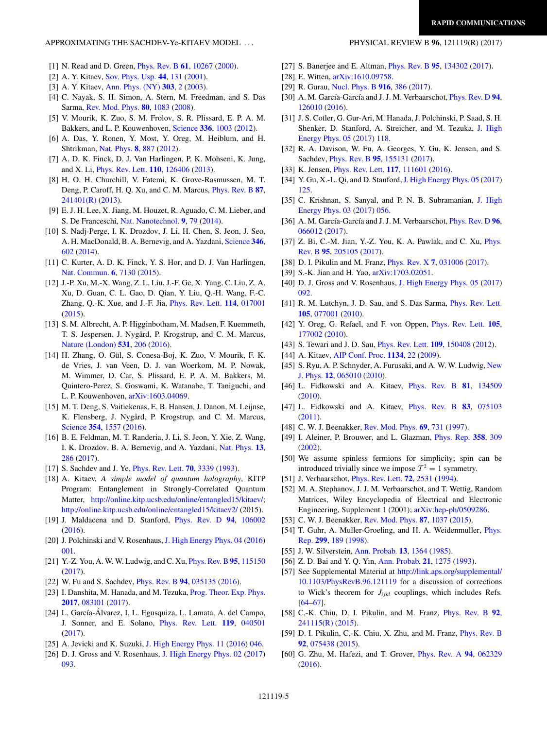### <span id="page-4-0"></span>APPROXIMATING THE SACHDEV-Ye-KITAEV MODEL . . . PHYSICAL REVIEW B **96**, 121119(R) (2017)

- [1] N. Read and D. Green, [Phys. Rev. B](https://doi.org/10.1103/PhysRevB.61.10267) **[61](https://doi.org/10.1103/PhysRevB.61.10267)**, [10267](https://doi.org/10.1103/PhysRevB.61.10267) [\(2000\)](https://doi.org/10.1103/PhysRevB.61.10267).
- [2] A. Y. Kitaev, [Sov. Phys. Usp.](https://doi.org/10.1070/1063-7869/44/10S/S29) **[44](https://doi.org/10.1070/1063-7869/44/10S/S29)**, [131](https://doi.org/10.1070/1063-7869/44/10S/S29) [\(2001\)](https://doi.org/10.1070/1063-7869/44/10S/S29).
- [3] A. Y. Kitaev, [Ann. Phys. \(NY\)](https://doi.org/10.1016/S0003-4916(02)00018-0) **[303](https://doi.org/10.1016/S0003-4916(02)00018-0)**, [2](https://doi.org/10.1016/S0003-4916(02)00018-0) [\(2003\)](https://doi.org/10.1016/S0003-4916(02)00018-0).
- [4] C. Nayak, S. H. Simon, A. Stern, M. Freedman, and S. Das Sarma, [Rev. Mod. Phys.](https://doi.org/10.1103/RevModPhys.80.1083) **[80](https://doi.org/10.1103/RevModPhys.80.1083)**, [1083](https://doi.org/10.1103/RevModPhys.80.1083) [\(2008\)](https://doi.org/10.1103/RevModPhys.80.1083).
- [5] V. Mourik, K. Zuo, S. M. Frolov, S. R. Plissard, E. P. A. M. Bakkers, and L. P. Kouwenhoven, [Science](https://doi.org/10.1126/science.1222360) **[336](https://doi.org/10.1126/science.1222360)**, [1003](https://doi.org/10.1126/science.1222360) [\(2012\)](https://doi.org/10.1126/science.1222360).
- [6] A. Das, Y. Ronen, Y. Most, Y. Oreg, M. Heiblum, and H. Shtrikman, [Nat. Phys.](https://doi.org/10.1038/nphys2479) **[8](https://doi.org/10.1038/nphys2479)**, [887](https://doi.org/10.1038/nphys2479) [\(2012\)](https://doi.org/10.1038/nphys2479).
- [7] A. D. K. Finck, D. J. Van Harlingen, P. K. Mohseni, K. Jung, and X. Li, [Phys. Rev. Lett.](https://doi.org/10.1103/PhysRevLett.110.126406) **[110](https://doi.org/10.1103/PhysRevLett.110.126406)**, [126406](https://doi.org/10.1103/PhysRevLett.110.126406) [\(2013\)](https://doi.org/10.1103/PhysRevLett.110.126406).
- [8] H. O. H. Churchill, V. Fatemi, K. Grove-Rasmussen, M. T. Deng, P. Caroff, H. Q. Xu, and C. M. Marcus, [Phys. Rev. B](https://doi.org/10.1103/PhysRevB.87.241401) **[87](https://doi.org/10.1103/PhysRevB.87.241401)**, [241401\(R\)](https://doi.org/10.1103/PhysRevB.87.241401) [\(2013\)](https://doi.org/10.1103/PhysRevB.87.241401).
- [9] E. J. H. Lee, X. Jiang, M. Houzet, R. Aguado, C. M. Lieber, and S. De Franceschi, [Nat. Nanotechnol.](https://doi.org/10.1038/nnano.2013.267) **[9](https://doi.org/10.1038/nnano.2013.267)**, [79](https://doi.org/10.1038/nnano.2013.267) [\(2014\)](https://doi.org/10.1038/nnano.2013.267).
- [10] S. Nadj-Perge, I. K. Drozdov, J. Li, H. Chen, S. Jeon, J. Seo, A. H. MacDonald, B. A. Bernevig, and A. Yazdani, [Science](https://doi.org/10.1126/science.1259327) **[346](https://doi.org/10.1126/science.1259327)**, [602](https://doi.org/10.1126/science.1259327) [\(2014\)](https://doi.org/10.1126/science.1259327).
- [11] C. Kurter, A. D. K. Finck, Y. S. Hor, and D. J. Van Harlingen, [Nat. Commun.](https://doi.org/10.1038/ncomms8130) **[6](https://doi.org/10.1038/ncomms8130)**, [7130](https://doi.org/10.1038/ncomms8130) [\(2015\)](https://doi.org/10.1038/ncomms8130).
- [12] J.-P. Xu, M.-X. Wang, Z. L. Liu, J.-F. Ge, X. Yang, C. Liu, Z. A. Xu, D. Guan, C. L. Gao, D. Qian, Y. Liu, Q.-H. Wang, F.-C. Zhang, Q.-K. Xue, and J.-F. Jia, [Phys. Rev. Lett.](https://doi.org/10.1103/PhysRevLett.114.017001) **[114](https://doi.org/10.1103/PhysRevLett.114.017001)**, [017001](https://doi.org/10.1103/PhysRevLett.114.017001)  $(2015)$ .
- [13] S. M. Albrecht, A. P. Higginbotham, M. Madsen, F. Kuemmeth, T. S. Jespersen, J. Nygård, P. Krogstrup, and C. M. Marcus, [Nature \(London\)](https://doi.org/10.1038/nature17162) **[531](https://doi.org/10.1038/nature17162)**, [206](https://doi.org/10.1038/nature17162) [\(2016\)](https://doi.org/10.1038/nature17162).
- [14] H. Zhang, O. Gül, S. Conesa-Boj, K. Zuo, V. Mourik, F. K. de Vries, J. van Veen, D. J. van Woerkom, M. P. Nowak, M. Wimmer, D. Car, S. Plissard, E. P. A. M. Bakkers, M. Quintero-Perez, S. Goswami, K. Watanabe, T. Taniguchi, and L. P. Kouwenhoven, [arXiv:1603.04069.](http://arxiv.org/abs/arXiv:1603.04069)
- [15] M. T. Deng, S. Vaitiekenas, E. B. Hansen, J. Danon, M. Leijnse, K. Flensberg, J. Nygård, P. Krogstrup, and C. M. Marcus, [Science](https://doi.org/10.1126/science.aaf3961) **[354](https://doi.org/10.1126/science.aaf3961)**, [1557](https://doi.org/10.1126/science.aaf3961) [\(2016\)](https://doi.org/10.1126/science.aaf3961).
- [16] B. E. Feldman, M. T. Randeria, J. Li, S. Jeon, Y. Xie, Z. Wang, I. K. Drozdov, B. A. Bernevig, and A. Yazdani, [Nat. Phys.](https://doi.org/10.1038/nphys3947) **[13](https://doi.org/10.1038/nphys3947)**, [286](https://doi.org/10.1038/nphys3947) [\(2017\)](https://doi.org/10.1038/nphys3947).
- [17] S. Sachdev and J. Ye, [Phys. Rev. Lett.](https://doi.org/10.1103/PhysRevLett.70.3339) **[70](https://doi.org/10.1103/PhysRevLett.70.3339)**, [3339](https://doi.org/10.1103/PhysRevLett.70.3339) [\(1993\)](https://doi.org/10.1103/PhysRevLett.70.3339).
- [18] A. Kitaev, *A simple model of quantum holography*, KITP Program: Entanglement in Strongly-Correlated Quantum Matter, [http://online.kitp.ucsb.edu/online/entangled15/kitaev/;](http://online.kitp.ucsb.edu/online/entangled15/kitaev/) <http://online.kitp.ucsb.edu/online/entangled15/kitaev2/> (2015).
- [19] J. Maldacena and D. Stanford, [Phys. Rev. D](https://doi.org/10.1103/PhysRevD.94.106002) **[94](https://doi.org/10.1103/PhysRevD.94.106002)**, [106002](https://doi.org/10.1103/PhysRevD.94.106002) [\(2016\)](https://doi.org/10.1103/PhysRevD.94.106002).
- [20] J. Polchinski and V. Rosenhaus, [J. High Energy Phys. 04](https://doi.org/10.1007/JHEP04(2016)001) [\(2016\)](https://doi.org/10.1007/JHEP04(2016)001) [001.](https://doi.org/10.1007/JHEP04(2016)001)
- [21] Y.-Z. You, A. W. W. Ludwig, and C. Xu, [Phys. Rev. B](https://doi.org/10.1103/PhysRevB.95.115150)**[95](https://doi.org/10.1103/PhysRevB.95.115150)**, [115150](https://doi.org/10.1103/PhysRevB.95.115150) [\(2017\)](https://doi.org/10.1103/PhysRevB.95.115150).
- [22] W. Fu and S. Sachdev, [Phys. Rev. B](https://doi.org/10.1103/PhysRevB.94.035135) **[94](https://doi.org/10.1103/PhysRevB.94.035135)**, [035135](https://doi.org/10.1103/PhysRevB.94.035135) [\(2016\)](https://doi.org/10.1103/PhysRevB.94.035135).
- [23] I. Danshita, M. Hanada, and M. Tezuka, *[Prog. Theor. Exp. Phys.](https://doi.org/10.1093/ptep/ptx108)* **[2017](https://doi.org/10.1093/ptep/ptx108)**, [083I01](https://doi.org/10.1093/ptep/ptx108) [\(2017\)](https://doi.org/10.1093/ptep/ptx108).
- [24] L. García-Álvarez, I. L. Egusquiza, L. Lamata, A. del Campo, J. Sonner, and E. Solano, [Phys. Rev. Lett.](https://doi.org/10.1103/PhysRevLett.119.040501) **[119](https://doi.org/10.1103/PhysRevLett.119.040501)**, [040501](https://doi.org/10.1103/PhysRevLett.119.040501) [\(2017\)](https://doi.org/10.1103/PhysRevLett.119.040501).
- [25] A. Jevicki and K. Suzuki, [J. High Energy Phys. 11](https://doi.org/10.1007/JHEP11(2016)046) [\(2016\)](https://doi.org/10.1007/JHEP11(2016)046) [046.](https://doi.org/10.1007/JHEP11(2016)046)
- [26] D. J. Gross and V. Rosenhaus, [J. High Energy Phys. 02](https://doi.org/10.1007/JHEP02(2017)093) [\(2017\)](https://doi.org/10.1007/JHEP02(2017)093) [093.](https://doi.org/10.1007/JHEP02(2017)093)
- 
- [27] S. Banerjee and E. Altman, [Phys. Rev. B](https://doi.org/10.1103/PhysRevB.95.134302) **[95](https://doi.org/10.1103/PhysRevB.95.134302)**, [134302](https://doi.org/10.1103/PhysRevB.95.134302) [\(2017\)](https://doi.org/10.1103/PhysRevB.95.134302).
- [28] E. Witten, [arXiv:1610.09758.](http://arxiv.org/abs/arXiv:1610.09758)
- [29] R. Gurau, [Nucl. Phys. B](https://doi.org/10.1016/j.nuclphysb.2017.01.015) **[916](https://doi.org/10.1016/j.nuclphysb.2017.01.015)**, [386](https://doi.org/10.1016/j.nuclphysb.2017.01.015) [\(2017\)](https://doi.org/10.1016/j.nuclphysb.2017.01.015).
- [30] A. M. García-García and J. J. M. Verbaarschot, [Phys. Rev. D](https://doi.org/10.1103/PhysRevD.94.126010) **[94](https://doi.org/10.1103/PhysRevD.94.126010)**, [126010](https://doi.org/10.1103/PhysRevD.94.126010) [\(2016\)](https://doi.org/10.1103/PhysRevD.94.126010).
- [31] J. S. Cotler, G. Gur-Ari, M. Hanada, J. Polchinski, P. Saad, S. H. [Shenker, D. Stanford, A. Streicher, and M. Tezuka,](https://doi.org/10.1007/JHEP05(2017)118) J. High Energy Phys. [05](https://doi.org/10.1007/JHEP05(2017)118) [\(2017\)](https://doi.org/10.1007/JHEP05(2017)118) [118.](https://doi.org/10.1007/JHEP05(2017)118)
- [32] R. A. Davison, W. Fu, A. Georges, Y. Gu, K. Jensen, and S. Sachdev, [Phys. Rev. B](https://doi.org/10.1103/PhysRevB.95.155131) **[95](https://doi.org/10.1103/PhysRevB.95.155131)**, [155131](https://doi.org/10.1103/PhysRevB.95.155131) [\(2017\)](https://doi.org/10.1103/PhysRevB.95.155131).
- [33] K. Jensen, [Phys. Rev. Lett.](https://doi.org/10.1103/PhysRevLett.117.111601) **[117](https://doi.org/10.1103/PhysRevLett.117.111601)**, [111601](https://doi.org/10.1103/PhysRevLett.117.111601) [\(2016\)](https://doi.org/10.1103/PhysRevLett.117.111601).
- [34] Y. Gu, X.-L. Qi, and D. Stanford, [J. High Energy Phys. 05](https://doi.org/10.1007/JHEP05(2017)125) [\(2017\)](https://doi.org/10.1007/JHEP05(2017)125) [125.](https://doi.org/10.1007/JHEP05(2017)125)
- [35] [C. Krishnan, S. Sanyal, and P. N. B. Subramanian,](https://doi.org/10.1007/JHEP03(2017)056) J. High Energy Phys. [03](https://doi.org/10.1007/JHEP03(2017)056) [\(2017\)](https://doi.org/10.1007/JHEP03(2017)056) [056.](https://doi.org/10.1007/JHEP03(2017)056)
- [36] A. M. García-García and J. J. M. Verbaarschot, [Phys. Rev. D](https://doi.org/10.1103/PhysRevD.96.066012) **[96](https://doi.org/10.1103/PhysRevD.96.066012)**, [066012](https://doi.org/10.1103/PhysRevD.96.066012) [\(2017\)](https://doi.org/10.1103/PhysRevD.96.066012).
- [37] [Z. Bi, C.-M. Jian, Y.-Z. You, K. A. Pawlak, and C. Xu,](https://doi.org/10.1103/PhysRevB.95.205105) *Phys.* Rev. B **[95](https://doi.org/10.1103/PhysRevB.95.205105)**, [205105](https://doi.org/10.1103/PhysRevB.95.205105) [\(2017\)](https://doi.org/10.1103/PhysRevB.95.205105).
- [38] D. I. Pikulin and M. Franz, [Phys. Rev. X](https://doi.org/10.1103/PhysRevX.7.031006) **[7](https://doi.org/10.1103/PhysRevX.7.031006)**, [031006](https://doi.org/10.1103/PhysRevX.7.031006) [\(2017\)](https://doi.org/10.1103/PhysRevX.7.031006).
- [39] S.-K. Jian and H. Yao, [arXiv:1703.02051.](http://arxiv.org/abs/arXiv:1703.02051)
- [40] D. J. Gross and V. Rosenhaus, [J. High Energy Phys. 05](https://doi.org/10.1007/JHEP05(2017)092) [\(2017\)](https://doi.org/10.1007/JHEP05(2017)092) [092.](https://doi.org/10.1007/JHEP05(2017)092)
- [41] R. M. Lutchyn, J. D. Sau, and S. Das Sarma, [Phys. Rev. Lett.](https://doi.org/10.1103/PhysRevLett.105.077001) **[105](https://doi.org/10.1103/PhysRevLett.105.077001)**, [077001](https://doi.org/10.1103/PhysRevLett.105.077001) [\(2010\)](https://doi.org/10.1103/PhysRevLett.105.077001).
- [42] Y. Oreg, G. Refael, and F. von Oppen, [Phys. Rev. Lett.](https://doi.org/10.1103/PhysRevLett.105.177002) **[105](https://doi.org/10.1103/PhysRevLett.105.177002)**, [177002](https://doi.org/10.1103/PhysRevLett.105.177002) [\(2010\)](https://doi.org/10.1103/PhysRevLett.105.177002).
- [43] S. Tewari and J. D. Sau, [Phys. Rev. Lett.](https://doi.org/10.1103/PhysRevLett.109.150408) **[109](https://doi.org/10.1103/PhysRevLett.109.150408)**, [150408](https://doi.org/10.1103/PhysRevLett.109.150408) [\(2012\)](https://doi.org/10.1103/PhysRevLett.109.150408).
- [44] A. Kitaev, [AIP Conf. Proc.](https://doi.org/10.1063/1.3149495) **[1134](https://doi.org/10.1063/1.3149495)**, [22](https://doi.org/10.1063/1.3149495) [\(2009\)](https://doi.org/10.1063/1.3149495).
- [45] [S. Ryu, A. P. Schnyder, A. Furusaki, and A. W. W. Ludwig,](https://doi.org/10.1088/1367-2630/12/6/065010) New J. Phys. **[12](https://doi.org/10.1088/1367-2630/12/6/065010)**, [065010](https://doi.org/10.1088/1367-2630/12/6/065010) [\(2010\)](https://doi.org/10.1088/1367-2630/12/6/065010).
- [46] L. Fidkowski and A. Kitaev, [Phys. Rev. B](https://doi.org/10.1103/PhysRevB.81.134509) **[81](https://doi.org/10.1103/PhysRevB.81.134509)**, [134509](https://doi.org/10.1103/PhysRevB.81.134509) [\(2010\)](https://doi.org/10.1103/PhysRevB.81.134509).
- [47] L. Fidkowski and A. Kitaev, [Phys. Rev. B](https://doi.org/10.1103/PhysRevB.83.075103) **[83](https://doi.org/10.1103/PhysRevB.83.075103)**, [075103](https://doi.org/10.1103/PhysRevB.83.075103) [\(2011\)](https://doi.org/10.1103/PhysRevB.83.075103).
- [48] C. W. J. Beenakker, [Rev. Mod. Phys.](https://doi.org/10.1103/RevModPhys.69.731) **[69](https://doi.org/10.1103/RevModPhys.69.731)**, [731](https://doi.org/10.1103/RevModPhys.69.731) [\(1997\)](https://doi.org/10.1103/RevModPhys.69.731).
- [49] I. Aleiner, P. Brouwer, and L. Glazman, [Phys. Rep.](https://doi.org/10.1016/S0370-1573(01)00063-1) **[358](https://doi.org/10.1016/S0370-1573(01)00063-1)**, [309](https://doi.org/10.1016/S0370-1573(01)00063-1) [\(2002\)](https://doi.org/10.1016/S0370-1573(01)00063-1).
- [50] We assume spinless fermions for simplicity; spin can be introduced trivially since we impose  $T^2 = 1$  symmetry.
- [51] J. Verbaarschot, [Phys. Rev. Lett.](https://doi.org/10.1103/PhysRevLett.72.2531) **[72](https://doi.org/10.1103/PhysRevLett.72.2531)**, [2531](https://doi.org/10.1103/PhysRevLett.72.2531) [\(1994\)](https://doi.org/10.1103/PhysRevLett.72.2531).
- [52] M. A. Stephanov, J. J. M. Verbaarschot, and T. Wettig, Random Matrices, Wiley Encyclopedia of Electrical and Electronic Engineering, Supplement 1 (2001); [arXiv:hep-ph/0509286.](http://arxiv.org/abs/arXiv:hep-ph/0509286)
- [53] C. W. J. Beenakker, [Rev. Mod. Phys.](https://doi.org/10.1103/RevModPhys.87.1037) **[87](https://doi.org/10.1103/RevModPhys.87.1037)**, [1037](https://doi.org/10.1103/RevModPhys.87.1037) [\(2015\)](https://doi.org/10.1103/RevModPhys.87.1037).
- [54] [T. Guhr, A. Muller-Groeling, and H. A. Weidenmuller,](https://doi.org/10.1016/S0370-1573(97)00088-4) Phys. Rep. **[299](https://doi.org/10.1016/S0370-1573(97)00088-4)**, [189](https://doi.org/10.1016/S0370-1573(97)00088-4) [\(1998\)](https://doi.org/10.1016/S0370-1573(97)00088-4).
- [55] J. W. Silverstein, [Ann. Probab.](https://doi.org/10.1214/aop/1176992819) **[13](https://doi.org/10.1214/aop/1176992819)**, [1364](https://doi.org/10.1214/aop/1176992819) [\(1985\)](https://doi.org/10.1214/aop/1176992819).
- [56] Z. D. Bai and Y. Q. Yin, [Ann. Probab.](https://doi.org/10.1214/aop/1176989118) **[21](https://doi.org/10.1214/aop/1176989118)**, [1275](https://doi.org/10.1214/aop/1176989118) [\(1993\)](https://doi.org/10.1214/aop/1176989118).
- [57] See Supplemental Material at [http://link.aps.org/supplemental/](http://link.aps.org/supplemental/10.1103/PhysRevB.96.121119) 10.1103/PhysRevB.96.121119 for a discussion of corrections to Wick's theorem for  $J_{ijkl}$  couplings, which includes Refs.  $[64–67]$ .
- [58] C.-K. Chiu, D. I. Pikulin, and M. Franz, [Phys. Rev. B](https://doi.org/10.1103/PhysRevB.92.241115) **[92](https://doi.org/10.1103/PhysRevB.92.241115)**, [241115\(R\)](https://doi.org/10.1103/PhysRevB.92.241115) [\(2015\)](https://doi.org/10.1103/PhysRevB.92.241115).
- [59] D. I. Pikulin, C.-K. Chiu, X. Zhu, and M. Franz, *[Phys. Rev. B](https://doi.org/10.1103/PhysRevB.92.075438)* **[92](https://doi.org/10.1103/PhysRevB.92.075438)**, [075438](https://doi.org/10.1103/PhysRevB.92.075438) [\(2015\)](https://doi.org/10.1103/PhysRevB.92.075438).
- [60] G. Zhu, M. Hafezi, and T. Grover, [Phys. Rev. A](https://doi.org/10.1103/PhysRevA.94.062329) **[94](https://doi.org/10.1103/PhysRevA.94.062329)**, [062329](https://doi.org/10.1103/PhysRevA.94.062329) [\(2016\)](https://doi.org/10.1103/PhysRevA.94.062329).